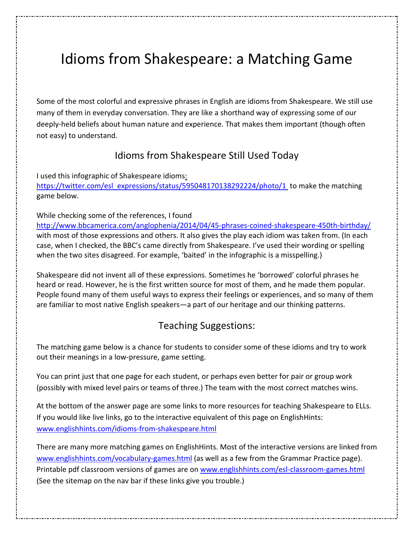# Idioms from Shakespeare: a Matching Game

Some of the most colorful and expressive phrases in English are idioms from Shakespeare. We still use many of them in everyday conversation. They are like a shorthand way of expressing some of our deeply-held beliefs about human nature and experience. That makes them important (though often not easy) to understand.

## Idioms from Shakespeare Still Used Today

I used this infographic of Shakespeare idioms: https://twitter.com/esl\_expressions/status/595048170138292224/photo/1 to make the matching game below.

#### While checking some of the references, I found

http://www.bbcamerica.com/anglophenia/2014/04/45-phrases-coined-shakespeare-450th-birthday/ with most of those expressions and others. It also gives the play each idiom was taken from. (In each case, when I checked, the BBC's came directly from Shakespeare. I've used their wording or spelling when the two sites disagreed. For example, 'baited' in the infographic is a misspelling.)

Shakespeare did not invent all of these expressions. Sometimes he 'borrowed' colorful phrases he heard or read. However, he is the first written source for most of them, and he made them popular. People found many of them useful ways to express their feelings or experiences, and so many of them are familiar to most native English speakers—a part of our heritage and our thinking patterns.

### Teaching Suggestions:

The matching game below is a chance for students to consider some of these idioms and try to work out their meanings in a low-pressure, game setting.

You can print just that one page for each student, or perhaps even better for pair or group work (possibly with mixed level pairs or teams of three.) The team with the most correct matches wins.

At the bottom of the answer page are some links to more resources for teaching Shakespeare to ELLs. If you would like live links, go to the interactive equivalent of this page on EnglishHints: www.englishhints.com/idioms-from-shakespeare.html

There are many more matching games on EnglishHints. Most of the interactive versions are linked from www.englishhints.com/vocabulary-games.html (as well as a few from the Grammar Practice page). Printable pdf classroom versions of games are on www.englishhints.com/esl-classroom-games.html (See the sitemap on the nav bar if these links give you trouble.)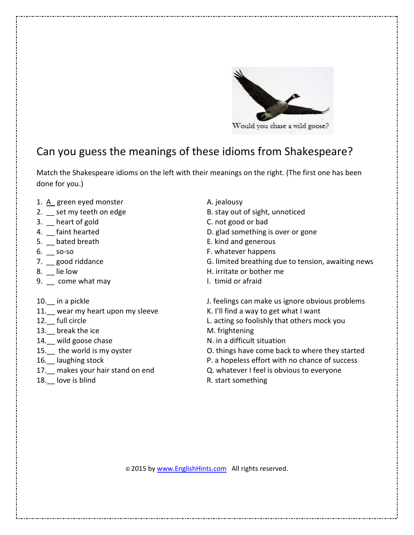

Would you chase a wild goose?

# Can you guess the meanings of these idioms from Shakespeare?

Match the Shakespeare idioms on the left with their meanings on the right. (The first one has been done for you.)

- 1. A\_ green eyed monster A. jealousy
- 
- 3. Leart of gold C. not good or bad
- 
- 5. \_\_ bated breath **E.** kind and generous
- 
- 
- 
- 9. \_\_ come what may **I.** timid or afraid
- 
- 11. wear my heart upon my sleeve K. I'll find a way to get what I want
- 
- 13. break the ice M. frightening
- 
- 
- 
- 
- 
- 
- 2. set my teeth on edge B. stay out of sight, unnoticed
	-
- 4.  $\Box$  faint hearted  $\Box$  and  $\Box$  and  $\Box$  and  $\Box$  and  $\Box$  and  $\Box$  and  $\Box$  and  $\Box$  and  $\Box$  and  $\Box$  and  $\Box$  and  $\Box$  and  $\Box$  and  $\Box$  and  $\Box$  and  $\Box$  and  $\Box$  and  $\Box$  and  $\Box$  and  $\Box$  and  $\Box$  and  $\Box$  and  $\$ 
	-
- 6. So-so **F.** whatever happens
- 7. good riddance and some controller and G. limited breathing due to tension, awaiting news
- 8. Lie low **B.** H. irritate or bother me
	-
- 10. in a pickle  $\qquad \qquad$  J. feelings can make us ignore obvious problems
	-
- 12. full circle **L.** acting so foolishly that others mock you
	-
- 14. wild goose chase N. in a difficult situation
- 15. the world is my oyster **O. things have come back to where they started**
- 16. laughing stock **P.** a hopeless effort with no chance of success
- 17. makes your hair stand on end **Q.** whatever I feel is obvious to everyone
- 18. love is blind R. start something

© 2015 by www.EnglishHints.com All rights reserved.